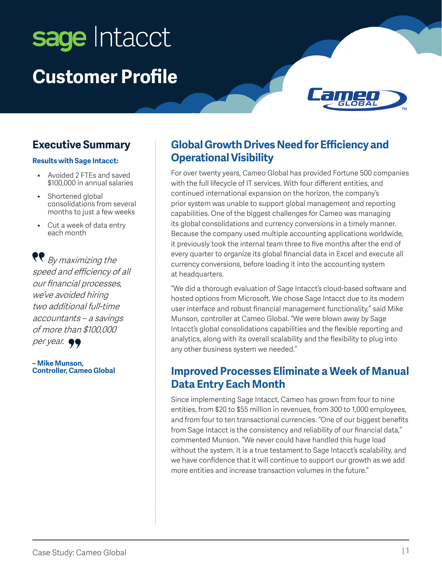# sage Intacct **Customer Profile**



#### **Executive Summary**

#### **Results with Sage Intacct:**

- Avoided 2 FTEs and saved \$100,000 in annual salaries
- Shortened global consolidations from several months to just a few weeks
- Cut a week of data entry each month

 $\bigtriangledown$  By maximizing the speed and efficiency of all our financial processes, we've avoided hiring two additional full-time accountants – a savings of more than \$100,000

per year.  $\bullet \bullet$ 

**– Mike Munson, Controller, Cameo Global**

#### **Global Growth Drives Need for Efficiency and Operational Visibility**

For over twenty years, Cameo Global has provided Fortune 500 companies with the full lifecycle of IT services. With four different entities, and continued international expansion on the horizon, the company's prior system was unable to support global management and reporting capabilities. One of the biggest challenges for Cameo was managing its global consolidations and currency conversions in a timely manner. Because the company used multiple accounting applications worldwide, it previously took the internal team three to five months after the end of every quarter to organize its global financial data in Excel and execute all currency conversions, before loading it into the accounting system at headquarters.

"We did a thorough evaluation of Sage Intacct's cloud-based software and hosted options from Microsoft. We chose Sage Intacct due to its modern user interface and robust financial management functionality," said Mike Munson, controller at Cameo Global. "We were blown away by Sage Intacct's global consolidations capabilities and the flexible reporting and analytics, along with its overall scalability and the flexibility to plug into any other business system we needed."

#### **Improved Processes Eliminate a Week of Manual Data Entry Each Month**

Since implementing Sage Intacct, Cameo has grown from four to nine entities, from \$20 to \$55 million in revenues, from 300 to 1,000 employees, and from four to ten transactional currencies. "One of our biggest benefits from Sage Intacct is the consistency and reliability of our financial data," commented Munson. "We never could have handled this huge load without the system. It is a true testament to Sage Intacct's scalability, and we have confidence that it will continue to support our growth as we add more entities and increase transaction volumes in the future."